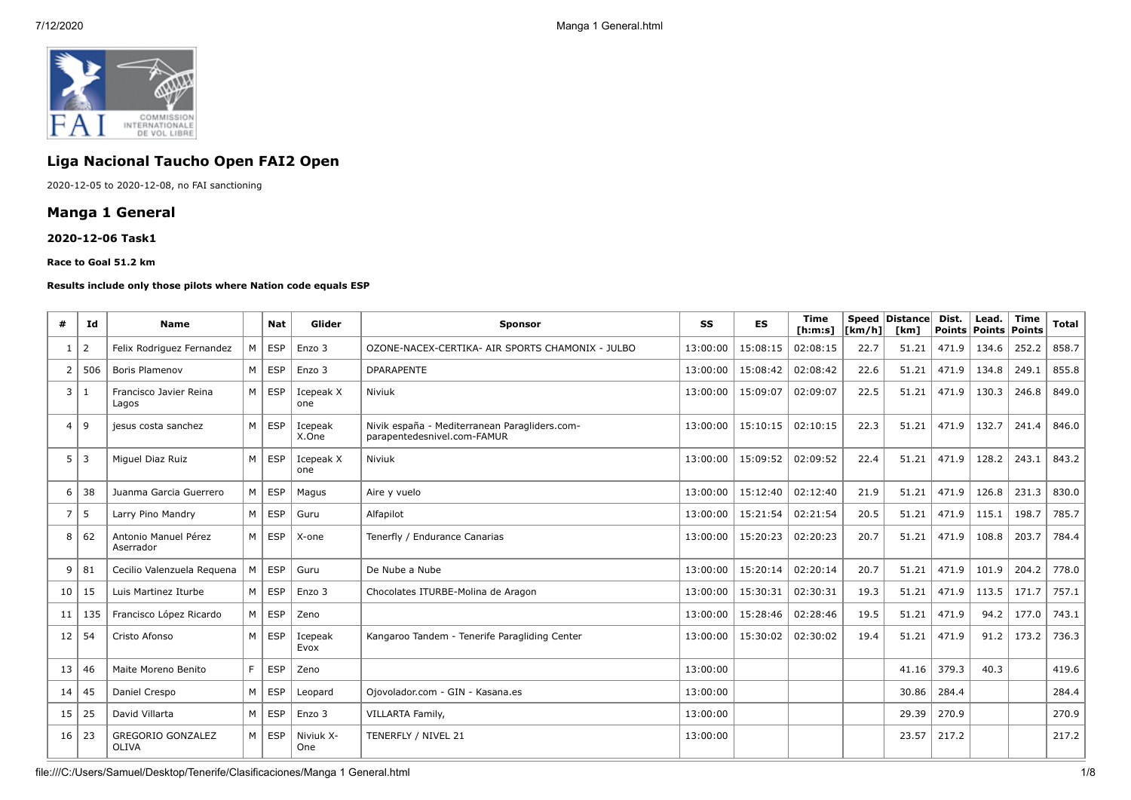

# **Liga Nacional Taucho Open FAI2 Open**

2020-12-05 to 2020-12-08, no FAI sanctioning

## **Manga 1 General**

### **2020-12-06 Task1**

#### **Race to Goal 51.2 km**

#### **Results include only those pilots where Nation code equals ESP**

| #              | Id             | <b>Name</b>                              |   | <b>Nat</b>    | Glider           | <b>Sponsor</b>                                                               | SS       | <b>ES</b> | <b>Time</b><br>[ h: m: s] | [km/h] | Speed Distance<br>[km] | Dist. | Lead.<br><b>Points Points</b> | Time<br>Points | <b>Total</b> |
|----------------|----------------|------------------------------------------|---|---------------|------------------|------------------------------------------------------------------------------|----------|-----------|---------------------------|--------|------------------------|-------|-------------------------------|----------------|--------------|
| 1              | 2              | Felix Rodriguez Fernandez                | M | <b>ESP</b>    | Enzo 3           | OZONE-NACEX-CERTIKA- AIR SPORTS CHAMONIX - JULBO                             | 13:00:00 | 15:08:15  | 02:08:15                  | 22.7   | 51.21                  | 471.9 | 134.6                         | 252.2          | 858.7        |
| $\overline{2}$ | 506            | <b>Boris Plamenov</b>                    | M | <b>ESP</b>    | Enzo 3           | <b>DPARAPENTE</b>                                                            | 13:00:00 | 15:08:42  | 02:08:42                  | 22.6   | 51.21                  | 471.9 | 134.8                         | 249.1          | 855.8        |
| 3              | -1             | Francisco Javier Reina<br>Lagos          |   | M ESP         | Icepeak X<br>one | Niviuk                                                                       | 13:00:00 | 15:09:07  | 02:09:07                  | 22.5   | 51.21                  | 471.9 | 130.3                         | 246.8          | 849.0        |
| $\overline{4}$ | 9              | jesus costa sanchez                      | M | <b>ESP</b>    | Icepeak<br>X.One | Nivik españa - Mediterranean Paragliders.com-<br>parapentedesnivel.com-FAMUR | 13:00:00 | 15:10:15  | 02:10:15                  | 22.3   | 51.21                  | 471.9 | 132.7                         | 241.4          | 846.0        |
| 5              | $\overline{3}$ | Miguel Diaz Ruiz                         | M | <b>ESP</b>    | Icepeak X<br>one | Niviuk                                                                       | 13:00:00 | 15:09:52  | 02:09:52                  | 22.4   | 51.21                  | 471.9 | 128.2                         | 243.1          | 843.2        |
| 6              | 38             | Juanma Garcia Guerrero                   | M | <b>ESP</b>    | Magus            | Aire y vuelo                                                                 | 13:00:00 | 15:12:40  | 02:12:40                  | 21.9   | 51.21                  | 471.9 | 126.8                         | 231.3          | 830.0        |
| $\overline{7}$ | 5              | Larry Pino Mandry                        | M | <b>ESP</b>    | Guru             | Alfapilot                                                                    | 13:00:00 | 15:21:54  | 02:21:54                  | 20.5   | 51.21                  | 471.9 | 115.1                         | 198.7          | 785.7        |
| 8              | 62             | Antonio Manuel Pérez<br>Aserrador        |   | M ESP         | X-one            | Tenerfly / Endurance Canarias                                                | 13:00:00 | 15:20:23  | 02:20:23                  | 20.7   | 51.21                  | 471.9 | 108.8                         | 203.7          | 784.4        |
| 9              | 81             | Cecilio Valenzuela Reguena               | M | <b>ESP</b>    | Guru             | De Nube a Nube                                                               | 13:00:00 | 15:20:14  | 02:20:14                  | 20.7   | 51.21                  | 471.9 | 101.9                         | 204.2          | 778.0        |
| 10             | 15             | Luis Martinez Iturbe                     | M | <b>ESP</b>    | Enzo 3           | Chocolates ITURBE-Molina de Aragon                                           | 13:00:00 | 15:30:31  | 02:30:31                  | 19.3   | 51.21                  | 471.9 | 113.5                         | 171.7          | 757.1        |
| 11             | 135            | Francisco López Ricardo                  |   | $M \vert$ ESP | Zeno             |                                                                              | 13:00:00 | 15:28:46  | 02:28:46                  | 19.5   | 51.21                  | 471.9 | 94.2                          | 177.0          | 743.1        |
| 12             | 54             | Cristo Afonso                            | M | <b>ESP</b>    | Icepeak<br>Evox  | Kangaroo Tandem - Tenerife Paragliding Center                                | 13:00:00 | 15:30:02  | 02:30:02                  | 19.4   | 51.21                  | 471.9 | 91.2                          | 173.2          | 736.3        |
| 13             | 46             | Maite Moreno Benito                      | F | <b>ESP</b>    | Zeno             |                                                                              | 13:00:00 |           |                           |        | 41.16                  | 379.3 | 40.3                          |                | 419.6        |
| 14             | 45             | Daniel Crespo                            | M | <b>ESP</b>    | Leopard          | Oiovolador.com - GIN - Kasana.es                                             | 13:00:00 |           |                           |        | 30.86                  | 284.4 |                               |                | 284.4        |
| 15             | 25             | David Villarta                           | M | ESP           | Enzo 3           | <b>VILLARTA Family,</b>                                                      | 13:00:00 |           |                           |        | 29.39                  | 270.9 |                               |                | 270.9        |
| 16             | 23             | <b>GREGORIO GONZALEZ</b><br><b>OLIVA</b> | M | <b>ESP</b>    | Niviuk X-<br>One | TENERFLY / NIVEL 21                                                          | 13:00:00 |           |                           |        | 23.57                  | 217.2 |                               |                | 217.2        |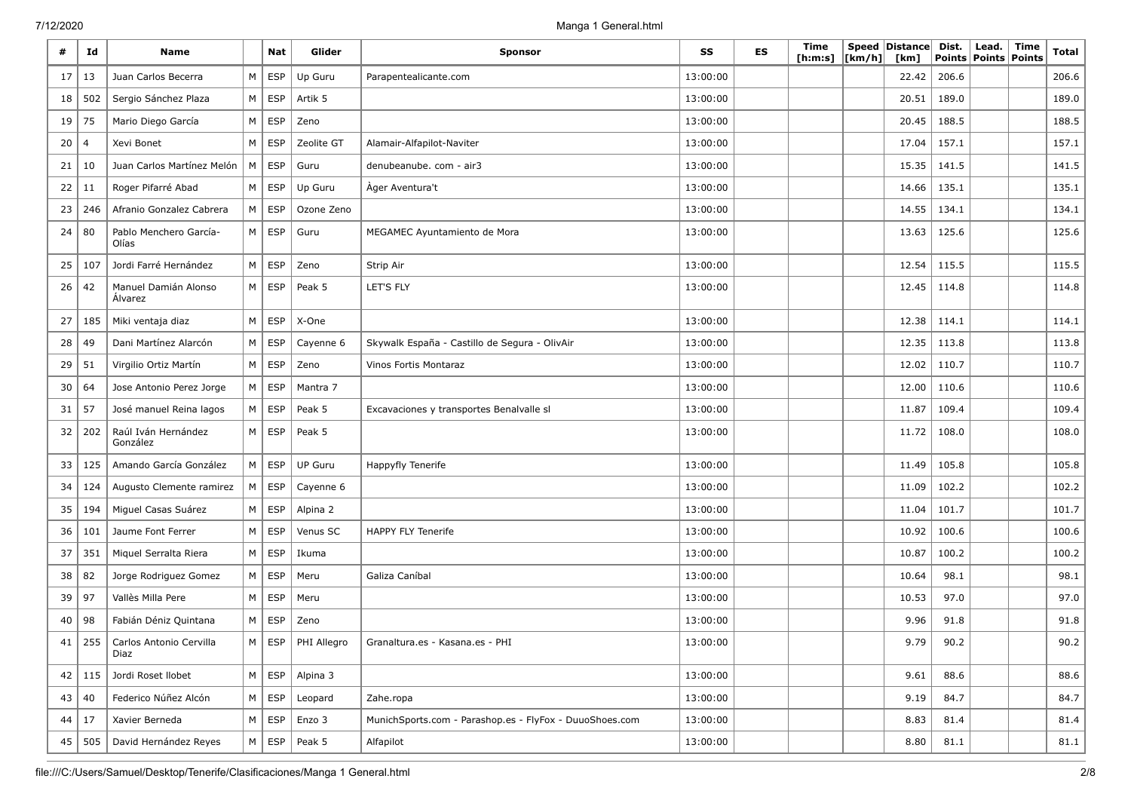| #  | Id             | <b>Name</b>                     |                | Nat                 | Glider            | <b>Sponsor</b>                                          | SS       | <b>ES</b> | Time<br>[ h: m: s] | [km/h] | Speed   Distance  <br>[km] | Dist.<br>Points | Lead.<br>Points   Points | Time | <b>Total</b> |
|----|----------------|---------------------------------|----------------|---------------------|-------------------|---------------------------------------------------------|----------|-----------|--------------------|--------|----------------------------|-----------------|--------------------------|------|--------------|
| 17 | 13             | Juan Carlos Becerra             | M              | ESP                 | Up Guru           | Parapentealicante.com                                   | 13:00:00 |           |                    |        | 22.42                      | 206.6           |                          |      | 206.6        |
| 18 | 502            | Sergio Sánchez Plaza            | M              | <b>ESP</b>          | Artik 5           |                                                         | 13:00:00 |           |                    |        | 20.51                      | 189.0           |                          |      | 189.0        |
| 19 | 75             | Mario Diego García              | M              | <b>ESP</b>          | Zeno              |                                                         | 13:00:00 |           |                    |        | 20.45                      | 188.5           |                          |      | 188.5        |
| 20 | $\overline{4}$ | Xevi Bonet                      | M              | <b>ESP</b>          | Zeolite GT        | Alamair-Alfapilot-Naviter                               | 13:00:00 |           |                    |        | 17.04                      | 157.1           |                          |      | 157.1        |
| 21 | 10             | Juan Carlos Martínez Melón      | M              | <b>ESP</b>          | Guru              | denubeanube. com - air3                                 | 13:00:00 |           |                    |        | 15.35                      | 141.5           |                          |      | 141.5        |
| 22 | 11             | Roger Pifarré Abad              | M              | ESP                 | Up Guru           | Ager Aventura't                                         | 13:00:00 |           |                    |        | 14.66                      | 135.1           |                          |      | 135.1        |
| 23 | 246            | Afranio Gonzalez Cabrera        | M              | <b>ESP</b>          | Ozone Zeno        |                                                         | 13:00:00 |           |                    |        | 14.55                      | 134.1           |                          |      | 134.1        |
| 24 | 80             | Pablo Menchero García-<br>Olías | M <sub>1</sub> | <b>ESP</b>          | Guru              | MEGAMEC Ayuntamiento de Mora                            | 13:00:00 |           |                    |        | 13.63                      | 125.6           |                          |      | 125.6        |
| 25 | 107            | Jordi Farré Hernández           | M              | <b>ESP</b>          | Zeno              | Strip Air                                               | 13:00:00 |           |                    |        | 12.54                      | 115.5           |                          |      | 115.5        |
| 26 | 42             | Manuel Damián Alonso<br>Alvarez |                | $M \vert$ ESP       | Peak 5            | LET'S FLY                                               | 13:00:00 |           |                    |        | 12.45                      | 114.8           |                          |      | 114.8        |
| 27 | 185            | Miki ventaja diaz               | M              | <b>ESP</b>          | X-One             |                                                         | 13:00:00 |           |                    |        | 12.38                      | 114.1           |                          |      | 114.1        |
| 28 | 49             | Dani Martínez Alarcón           |                | $M \vert$ ESP       | Cayenne 6         | Skywalk España - Castillo de Segura - OlivAir           | 13:00:00 |           |                    |        | 12.35                      | 113.8           |                          |      | 113.8        |
| 29 | 51             | Virgilio Ortiz Martín           | M              | <b>ESP</b>          | Zeno              | Vinos Fortis Montaraz                                   | 13:00:00 |           |                    |        | 12.02                      | 110.7           |                          |      | 110.7        |
| 30 | 64             | Jose Antonio Perez Jorge        |                | $M \vert$ ESP       | Mantra 7          |                                                         | 13:00:00 |           |                    |        | 12.00                      | 110.6           |                          |      | 110.6        |
| 31 | 57             | José manuel Reina lagos         | M              | <b>ESP</b>          | Peak 5            | Excavaciones y transportes Benalvalle sl                | 13:00:00 |           |                    |        | 11.87                      | 109.4           |                          |      | 109.4        |
| 32 | 202            | Raúl Iván Hernández<br>González |                | $M \vert$ ESP       | Peak 5            |                                                         | 13:00:00 |           |                    |        | 11.72                      | 108.0           |                          |      | 108.0        |
| 33 | 125            | Amando García González          |                | $M \vert$ ESP       | <b>UP Guru</b>    | Happyfly Tenerife                                       | 13:00:00 |           |                    |        | 11.49                      | 105.8           |                          |      | 105.8        |
| 34 | 124            | Augusto Clemente ramirez        | M              | ESP                 | Cayenne 6         |                                                         | 13:00:00 |           |                    |        | 11.09                      | 102.2           |                          |      | 102.2        |
| 35 | 194            | Miguel Casas Suárez             | M              | <b>ESP</b>          | Alpina 2          |                                                         | 13:00:00 |           |                    |        | 11.04                      | 101.7           |                          |      | 101.7        |
| 36 | 101            | Jaume Font Ferrer               | M              | <b>ESP</b>          | Venus SC          | HAPPY FLY Tenerife                                      | 13:00:00 |           |                    |        | 10.92                      | 100.6           |                          |      | 100.6        |
| 37 | 351            | Miquel Serralta Riera           | M              | <b>ESP</b>          | Ikuma             |                                                         | 13:00:00 |           |                    |        | 10.87                      | 100.2           |                          |      | 100.2        |
| 38 | 82             | Jorge Rodriguez Gomez           |                | $M \vert$ ESP       | Meru              | Galiza Caníbal                                          | 13:00:00 |           |                    |        | 10.64                      | 98.1            |                          |      | 98.1         |
| 39 | 97             | Vallès Milla Pere               |                | $M \vert$ ESP       | Meru              |                                                         | 13:00:00 |           |                    |        | 10.53                      | 97.0            |                          |      | 97.0         |
| 40 | 98             | Fabián Déniz Quintana           | M              | <b>ESP</b>          | Zeno              |                                                         | 13:00:00 |           |                    |        | 9.96                       | 91.8            |                          |      | 91.8         |
| 41 | 255            | Carlos Antonio Cervilla<br>Diaz | M              |                     | ESP   PHI Allegro | Granaltura.es - Kasana.es - PHI                         | 13:00:00 |           |                    |        | 9.79                       | 90.2            |                          |      | 90.2         |
|    | $42$   115     | Jordi Roset Ilobet              |                | $M \vert ESP \vert$ | Alpina 3          |                                                         | 13:00:00 |           |                    |        | 9.61                       | 88.6            |                          |      | 88.6         |
| 43 | 40             | Federico Núñez Alcón            |                | $M \vert$ ESP       | Leopard           | Zahe.ropa                                               | 13:00:00 |           |                    |        | 9.19                       | 84.7            |                          |      | 84.7         |
| 44 | 17             | Xavier Berneda                  |                | $M \vert$ ESP       | Enzo 3            | MunichSports.com - Parashop.es - FlyFox - DuuoShoes.com | 13:00:00 |           |                    |        | 8.83                       | 81.4            |                          |      | 81.4         |
|    | 45 505         | David Hernández Reyes           |                | $M \vert ESP$       | Peak 5            | Alfapilot                                               | 13:00:00 |           |                    |        | 8.80                       | 81.1            |                          |      | 81.1         |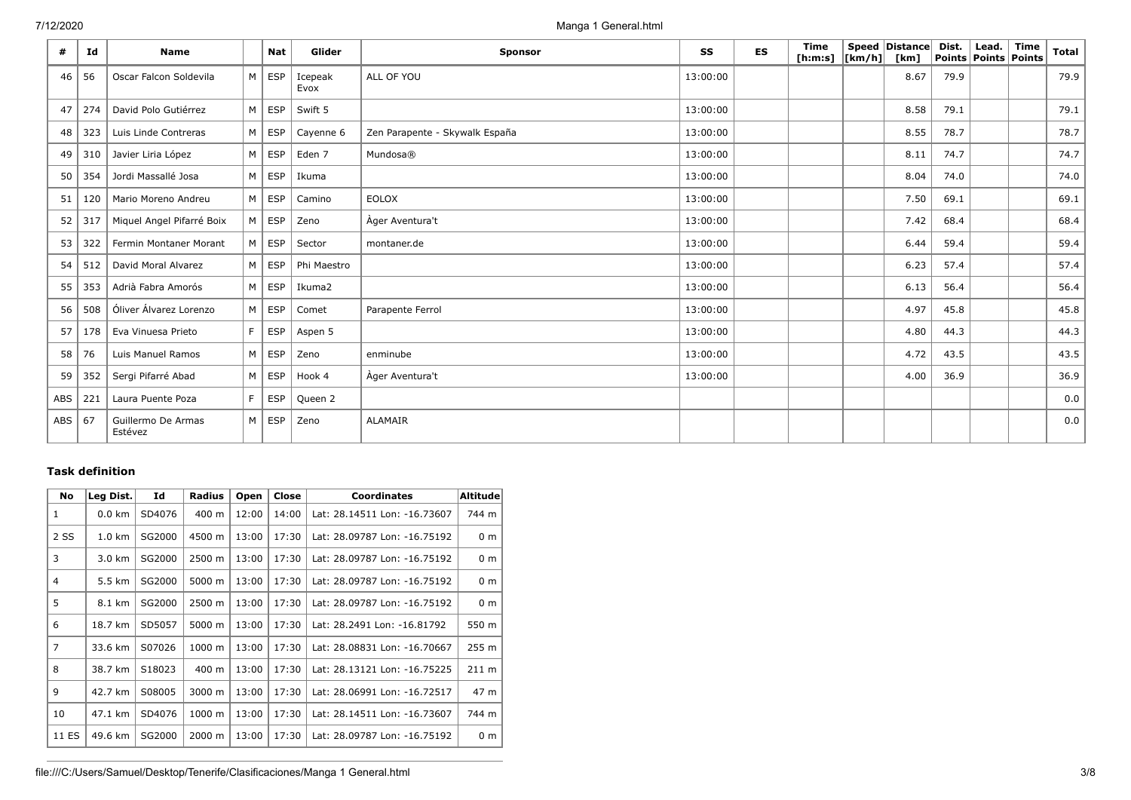| #   | Id  | <b>Name</b>                   |                | <b>Nat</b>    | Glider          | <b>Sponsor</b>                 | SS       | <b>ES</b> | Time<br>[h:m:s] $\vert$ [km/h] $\vert$ | Speed Distance<br>[km] | Dist. | Lead.<br>Points   Points   Points | Time | <b>Total</b> |
|-----|-----|-------------------------------|----------------|---------------|-----------------|--------------------------------|----------|-----------|----------------------------------------|------------------------|-------|-----------------------------------|------|--------------|
| 46  | 56  | Oscar Falcon Soldevila        |                | $M \vert$ ESP | Icepeak<br>Evox | ALL OF YOU                     | 13:00:00 |           |                                        | 8.67                   | 79.9  |                                   |      | 79.9         |
| 47  | 274 | David Polo Gutiérrez          | M              | ESP           | Swift 5         |                                | 13:00:00 |           |                                        | 8.58                   | 79.1  |                                   |      | 79.1         |
| 48  | 323 | Luis Linde Contreras          | M <sub>1</sub> | ESP           | Cayenne 6       | Zen Parapente - Skywalk España | 13:00:00 |           |                                        | 8.55                   | 78.7  |                                   |      | 78.7         |
| 49  | 310 | Javier Liria López            | M              | ESP           | Eden 7          | Mundosa®                       | 13:00:00 |           |                                        | 8.11                   | 74.7  |                                   |      | 74.7         |
| 50  | 354 | Jordi Massallé Josa           | M              | ESP           | Ikuma           |                                | 13:00:00 |           |                                        | 8.04                   | 74.0  |                                   |      | 74.0         |
| 51  | 120 | Mario Moreno Andreu           |                | $M \vert$ ESP | Camino          | <b>EOLOX</b>                   | 13:00:00 |           |                                        | 7.50                   | 69.1  |                                   |      | 69.1         |
| 52  | 317 | Miquel Angel Pifarré Boix     |                | $M \vert$ ESP | Zeno            | Ager Aventura't                | 13:00:00 |           |                                        | 7.42                   | 68.4  |                                   |      | 68.4         |
| 53  | 322 | Fermin Montaner Morant        |                | $M \vert$ ESP | Sector          | montaner.de                    | 13:00:00 |           |                                        | 6.44                   | 59.4  |                                   |      | 59.4         |
| 54  | 512 | David Moral Alvarez           | M              | ESP           | Phi Maestro     |                                | 13:00:00 |           |                                        | 6.23                   | 57.4  |                                   |      | 57.4         |
| 55  | 353 | Adrià Fabra Amorós            | M <sub>1</sub> | ESP           | Ikuma2          |                                | 13:00:00 |           |                                        | 6.13                   | 56.4  |                                   |      | 56.4         |
| 56  | 508 | Óliver Álvarez Lorenzo        | M              | <b>ESP</b>    | Comet           | Parapente Ferrol               | 13:00:00 |           |                                        | 4.97                   | 45.8  |                                   |      | 45.8         |
| 57  | 178 | Eva Vinuesa Prieto            | F              | <b>ESP</b>    | Aspen 5         |                                | 13:00:00 |           |                                        | 4.80                   | 44.3  |                                   |      | 44.3         |
| 58  | 76  | Luis Manuel Ramos             | M <sub>1</sub> | ESP           | Zeno            | enminube                       | 13:00:00 |           |                                        | 4.72                   | 43.5  |                                   |      | 43.5         |
| 59  | 352 | Sergi Pifarré Abad            |                | $M \vert$ ESP | Hook 4          | Ager Aventura't                | 13:00:00 |           |                                        | 4.00                   | 36.9  |                                   |      | 36.9         |
| ABS | 221 | Laura Puente Poza             | F.             | <b>ESP</b>    | Queen 2         |                                |          |           |                                        |                        |       |                                   |      | 0.0          |
| ABS | 67  | Guillermo De Armas<br>Estévez | M              | ESP           | Zeno            | <b>ALAMAIR</b>                 |          |           |                                        |                        |       |                                   |      | 0.0          |

## **Task definition**

| No             | Leg Dist.        | Id     | Radius          | Open  | Close | <b>Coordinates</b>           | Altitude        |
|----------------|------------------|--------|-----------------|-------|-------|------------------------------|-----------------|
| $\mathbf{1}$   | $0.0$ km         | SD4076 | $400 \text{ m}$ | 12:00 | 14:00 | Lat: 28.14511 Lon: -16.73607 | 744 m           |
| 2 SS           | $1.0 \text{ km}$ | SG2000 | 4500 m          | 13:00 | 17:30 | Lat: 28.09787 Lon: -16.75192 | 0 <sub>m</sub>  |
| 3              | 3.0 km           | SG2000 | 2500 m          | 13:00 | 17:30 | Lat: 28.09787 Lon: -16.75192 | 0 <sub>m</sub>  |
| 4              | 5.5 km           | SG2000 | 5000 m          | 13:00 | 17:30 | Lat: 28.09787 Lon: -16.75192 | 0 <sub>m</sub>  |
| 5              | 8.1 km           | SG2000 | 2500 m          | 13:00 | 17:30 | Lat: 28.09787 Lon: -16.75192 | 0 <sub>m</sub>  |
| 6              | 18.7 km          | SD5057 | 5000 m          | 13:00 | 17:30 | Lat: 28.2491 Lon: -16.81792  | 550 m           |
| $\overline{7}$ | 33.6 km          | S07026 | 1000 m          | 13:00 | 17:30 | Lat: 28.08831 Lon: -16.70667 | 255 m           |
| 8              | 38.7 km          | S18023 | 400 m           | 13:00 | 17:30 | Lat: 28.13121 Lon: -16.75225 | $211 \text{ m}$ |
| 9              | 42.7 km          | S08005 | 3000 m          | 13:00 | 17:30 | Lat: 28.06991 Lon: -16.72517 | 47 m            |
| 10             | 47.1 km          | SD4076 | 1000 m          | 13:00 | 17:30 | Lat: 28.14511 Lon: -16.73607 | 744 m           |
| 11 ES          | 49.6 km          | SG2000 | 2000 m          | 13:00 | 17:30 | Lat: 28.09787 Lon: -16.75192 | 0 <sub>m</sub>  |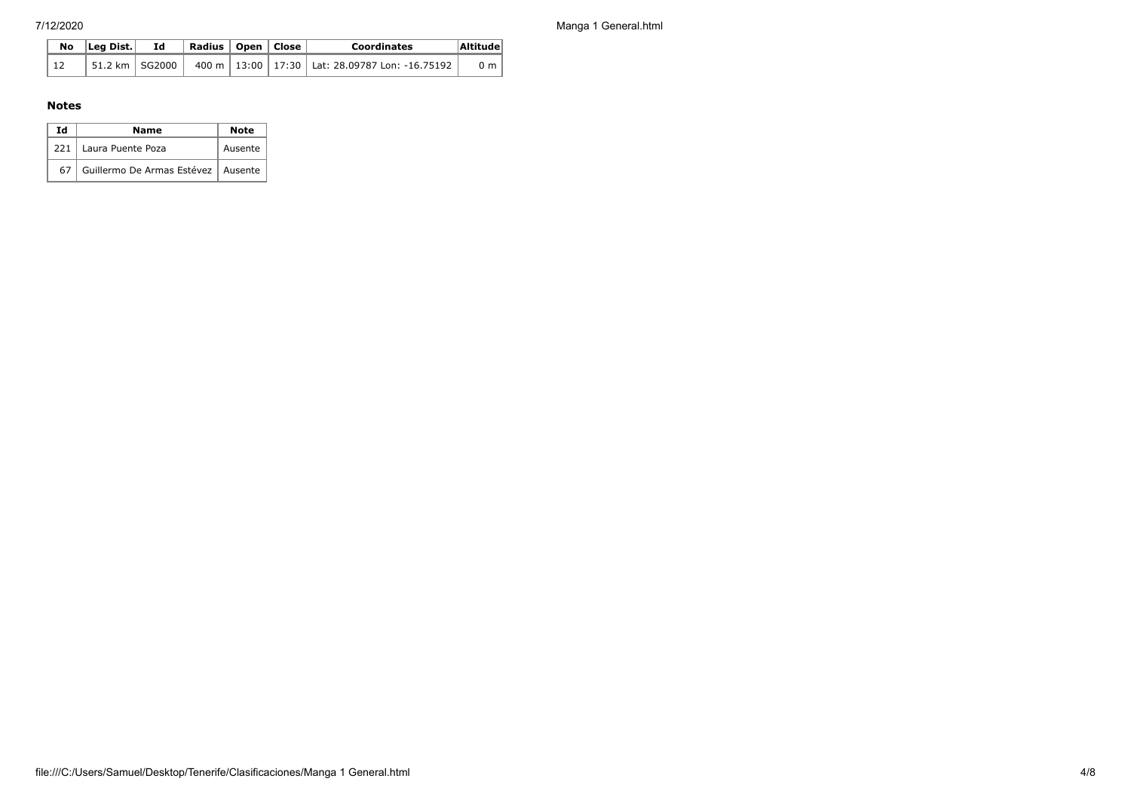7/12/2020 Manga 1 General.html

|  | $\overline{N}$ o   Leg Dist. | Id | Radius   Open   Close |  | <b>Coordinates</b>                                                      | Altitude       |
|--|------------------------------|----|-----------------------|--|-------------------------------------------------------------------------|----------------|
|  |                              |    |                       |  | 51.2 km   SG2000   400 m   13:00   17:30   Lat: 28.09787 Lon: -16.75192 | 0 <sub>m</sub> |

## **Notes**

| Ιd  | Name                                 | <b>Note</b> |
|-----|--------------------------------------|-------------|
| 221 | Laura Puente Poza                    | Ausente     |
| 67  | Guillermo De Armas Estévez   Ausente |             |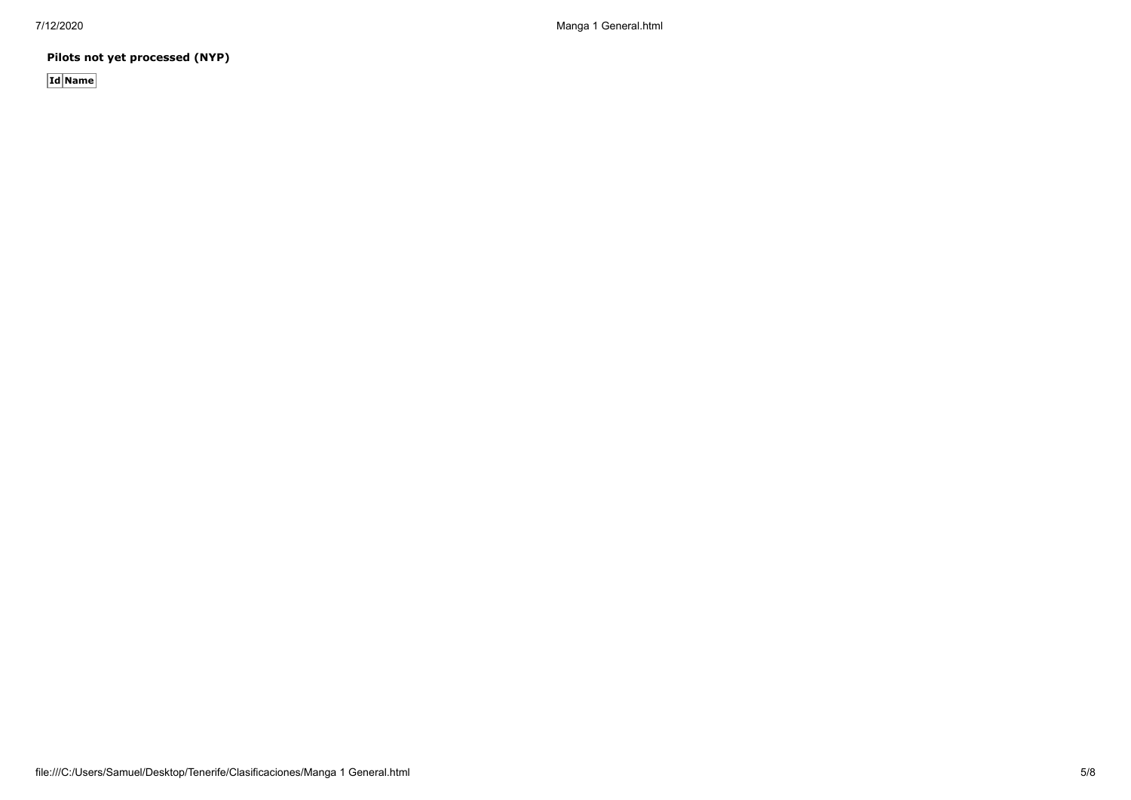7/12/2020 Manga 1 General.html

**Pilots not yet processed (NYP)**

**Id Name**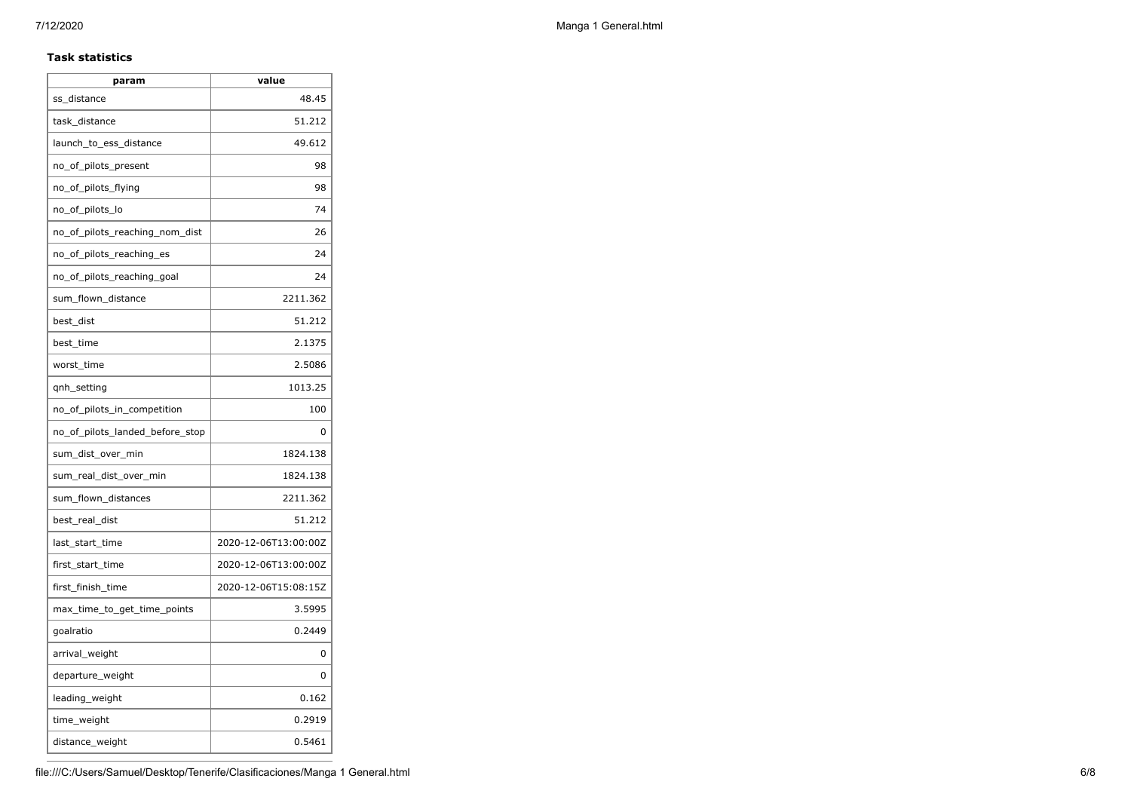## **Task statistics**

| param                           | value                |
|---------------------------------|----------------------|
| ss distance                     | 48.45                |
| task_distance                   | 51.212               |
| launch to ess distance          | 49.612               |
| no_of_pilots_present            | 98                   |
| no_of_pilots_flying             | 98                   |
| no_of_pilots_lo                 | 74                   |
| no_of_pilots_reaching_nom_dist  | 26                   |
| no_of_pilots_reaching_es        | 24                   |
| no_of_pilots_reaching_goal      | 24                   |
| sum_flown_distance              | 2211.362             |
| best_dist                       | 51.212               |
| best_time                       | 2.1375               |
| worst_time                      | 2.5086               |
| gnh_setting                     | 1013.25              |
| no_of_pilots_in_competition     | 100                  |
| no of pilots landed before stop | 0                    |
| sum_dist_over_min               | 1824.138             |
| sum_real_dist_over_min          | 1824.138             |
| sum_flown_distances             | 2211.362             |
| best real dist                  | 51.212               |
| last_start_time                 | 2020-12-06T13:00:00Z |
| first_start_time                | 2020-12-06T13:00:00Z |
| first_finish_time               | 2020-12-06T15:08:15Z |
| max_time_to_get_time_points     | 3.5995               |
| goalratio                       | 0.2449               |
| arrival_weight                  | 0                    |
| departure_weight                | 0                    |
| leading_weight                  | 0.162                |
| time_weight                     | 0.2919               |
| distance_weight                 | 0.5461               |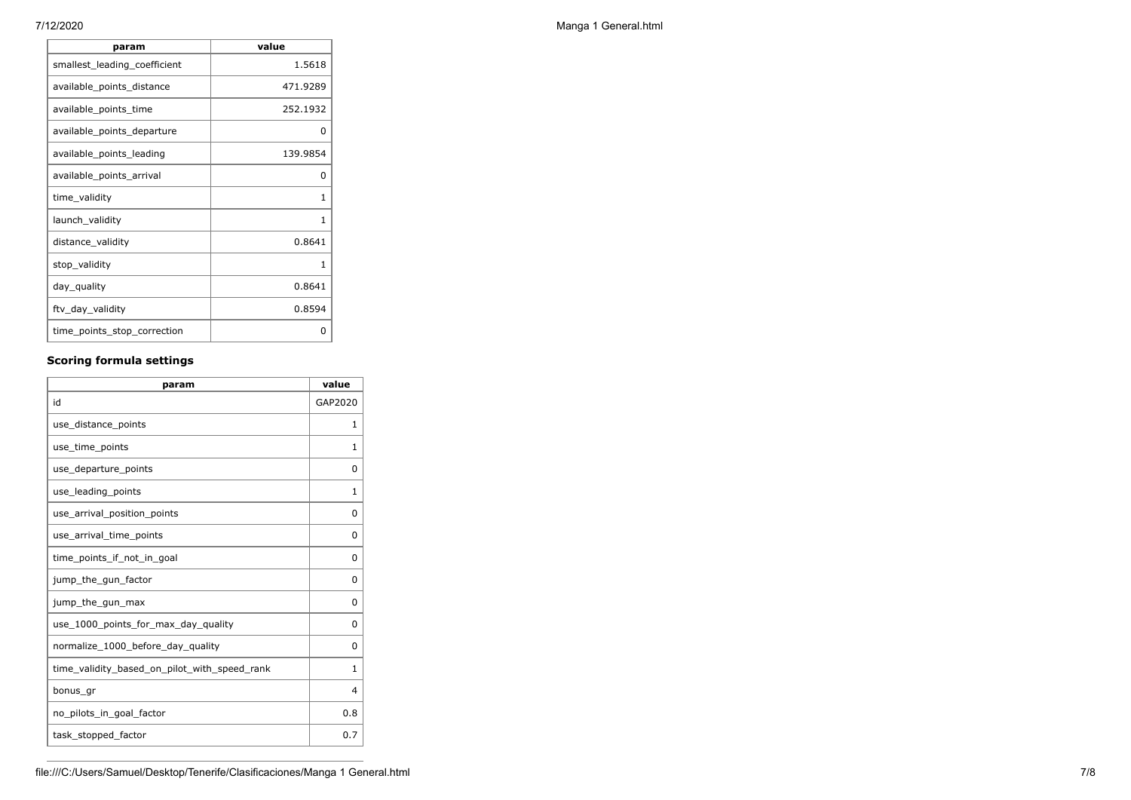Г

| 252.1932<br>available_points_time<br>available_points_departure<br>o<br>available_points_leading<br>139.9854<br>available_points_arrival<br>0<br>time_validity<br>1<br>launch_validity<br>1<br>0.8641<br>distance_validity<br>stop_validity<br>1<br>0.8641<br>day_quality<br>0.8594<br>ftv_day_validity<br>time_points_stop_correction<br>0 | available points distance | 471.9289 |
|---------------------------------------------------------------------------------------------------------------------------------------------------------------------------------------------------------------------------------------------------------------------------------------------------------------------------------------------|---------------------------|----------|
|                                                                                                                                                                                                                                                                                                                                             |                           |          |
|                                                                                                                                                                                                                                                                                                                                             |                           |          |
|                                                                                                                                                                                                                                                                                                                                             |                           |          |
|                                                                                                                                                                                                                                                                                                                                             |                           |          |
|                                                                                                                                                                                                                                                                                                                                             |                           |          |
|                                                                                                                                                                                                                                                                                                                                             |                           |          |
|                                                                                                                                                                                                                                                                                                                                             |                           |          |
|                                                                                                                                                                                                                                                                                                                                             |                           |          |
|                                                                                                                                                                                                                                                                                                                                             |                           |          |
|                                                                                                                                                                                                                                                                                                                                             |                           |          |
|                                                                                                                                                                                                                                                                                                                                             |                           |          |

## **Scoring formula settings**

| param                                        | value   |
|----------------------------------------------|---------|
| id                                           | GAP2020 |
| use_distance_points                          | 1       |
| use_time_points                              | 1       |
| use_departure_points                         | 0       |
| use leading points                           | 1       |
| use_arrival_position_points                  | 0       |
| use_arrival_time_points                      | 0       |
| time_points_if_not_in_goal                   | 0       |
| jump_the_gun_factor                          | 0       |
| jump_the_gun_max                             | 0       |
| use_1000_points_for_max_day_quality          | 0       |
| normalize_1000_before_day_quality            | 0       |
| time_validity_based_on_pilot_with_speed_rank | 1       |
| bonus_gr                                     | 4       |
| no_pilots_in_goal_factor                     | 0.8     |
| task_stopped_factor                          | 0.7     |